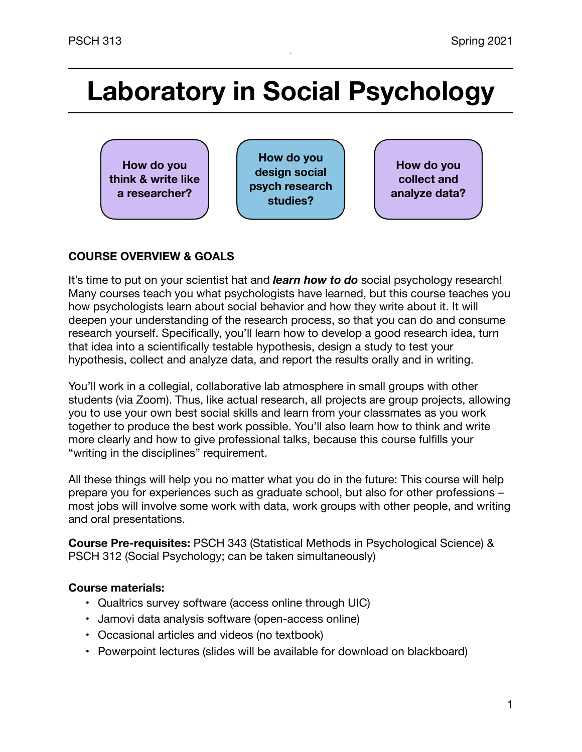# **Laboratory in Social Psychology**



## **COURSE OVERVIEW & GOALS**

It's time to put on your scientist hat and *learn how to do* social psychology research! Many courses teach you what psychologists have learned, but this course teaches you how psychologists learn about social behavior and how they write about it. It will deepen your understanding of the research process, so that you can do and consume research yourself. Specifically, you'll learn how to develop a good research idea, turn that idea into a scientifically testable hypothesis, design a study to test your hypothesis, collect and analyze data, and report the results orally and in writing.

You'll work in a collegial, collaborative lab atmosphere in small groups with other students (via Zoom). Thus, like actual research, all projects are group projects, allowing you to use your own best social skills and learn from your classmates as you work together to produce the best work possible. You'll also learn how to think and write more clearly and how to give professional talks, because this course fulfills your "writing in the disciplines" requirement.

All these things will help you no matter what you do in the future: This course will help prepare you for experiences such as graduate school, but also for other professions – most jobs will involve some work with data, work groups with other people, and writing and oral presentations.

**Course Pre-requisites:** PSCH 343 (Statistical Methods in Psychological Science) & PSCH 312 (Social Psychology; can be taken simultaneously)

## **Course materials:**

- Qualtrics survey software (access online through UIC)
- Jamovi data analysis software (open-access online)
- Occasional articles and videos (no textbook)
- Powerpoint lectures (slides will be available for download on blackboard)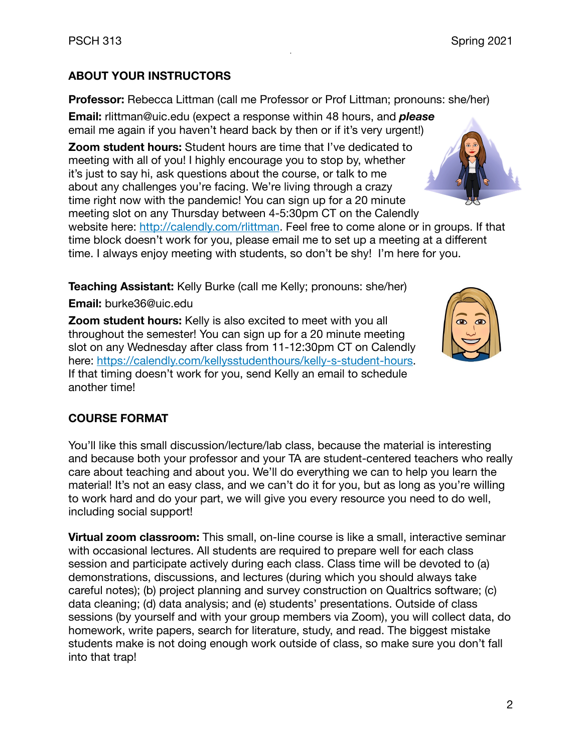## **ABOUT YOUR INSTRUCTORS**

**Professor:** Rebecca Littman (call me Professor or Prof Littman; pronouns: she/her)

**Email:** [rlittman@uic.edu](mailto:rlittman@uic.edu) (expect a response within 48 hours, and *please* email me again if you haven't heard back by then or if it's very urgent!)

**Zoom student hours:** Student hours are time that I've dedicated to meeting with all of you! I highly encourage you to stop by, whether it's just to say hi, ask questions about the course, or talk to me about any challenges you're facing. We're living through a crazy time right now with the pandemic! You can sign up for a 20 minute meeting slot on any Thursday between 4-5:30pm CT on the Calendly

website here: <http://calendly.com/rlittman>. Feel free to come alone or in groups. If that time block doesn't work for you, please email me to set up a meeting at a different time. I always enjoy meeting with students, so don't be shy! I'm here for you.

**Teaching Assistant:** Kelly Burke (call me Kelly; pronouns: she/her)

**Email:** burke36@uic.edu

**Zoom student hours:** Kelly is also excited to meet with you all throughout the semester! You can sign up for a 20 minute meeting slot on any Wednesday after class from 11-12:30pm CT on Calendly here: [https://calendly.com/kellysstudenthours/kelly-s-student-hours.](https://calendly.com/kellysstudenthours/kelly-s-student-hours) If that timing doesn't work for you, send Kelly an email to schedule another time!

## **COURSE FORMAT**

You'll like this small discussion/lecture/lab class, because the material is interesting and because both your professor and your TA are student-centered teachers who really care about teaching and about you. We'll do everything we can to help you learn the material! It's not an easy class, and we can't do it for you, but as long as you're willing to work hard and do your part, we will give you every resource you need to do well, including social support!

**Virtual zoom classroom:** This small, on-line course is like a small, interactive seminar with occasional lectures. All students are required to prepare well for each class session and participate actively during each class. Class time will be devoted to (a) demonstrations, discussions, and lectures (during which you should always take careful notes); (b) project planning and survey construction on Qualtrics software; (c) data cleaning; (d) data analysis; and (e) students' presentations. Outside of class sessions (by yourself and with your group members via Zoom), you will collect data, do homework, write papers, search for literature, study, and read. The biggest mistake students make is not doing enough work outside of class, so make sure you don't fall into that trap!



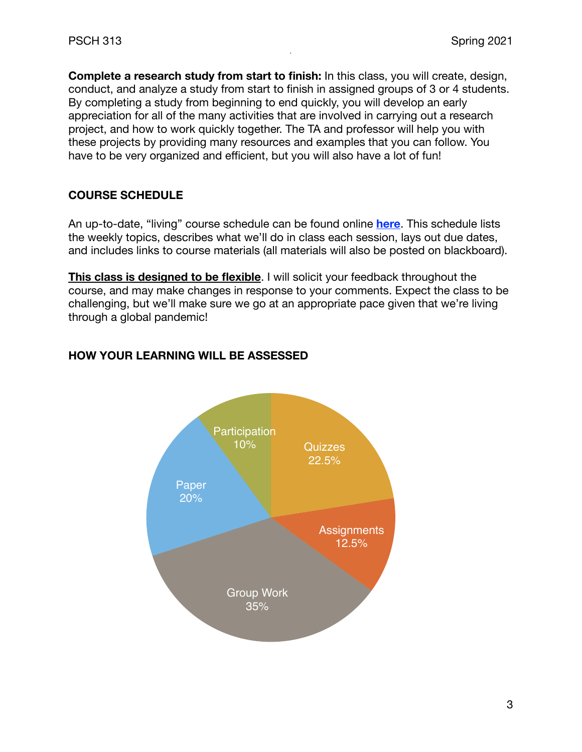**Complete a research study from start to finish:** In this class, you will create, design, conduct, and analyze a study from start to finish in assigned groups of 3 or 4 students. By completing a study from beginning to end quickly, you will develop an early appreciation for all of the many activities that are involved in carrying out a research project, and how to work quickly together. The TA and professor will help you with these projects by providing many resources and examples that you can follow. You have to be very organized and efficient, but you will also have a lot of fun!

## **COURSE SCHEDULE**

An up-to-date, "living" course schedule can be found online **[here](https://docs.google.com/spreadsheets/d/19f2R1N9RaEywZA9-nsRXQRImyqJiwHKuQK7436TB3yg/edit?usp=sharing)**. This schedule lists the weekly topics, describes what we'll do in class each session, lays out due dates, and includes links to course materials (all materials will also be posted on blackboard).

**This class is designed to be flexible**. I will solicit your feedback throughout the course, and may make changes in response to your comments. Expect the class to be challenging, but we'll make sure we go at an appropriate pace given that we're living through a global pandemic!



## **HOW YOUR LEARNING WILL BE ASSESSED**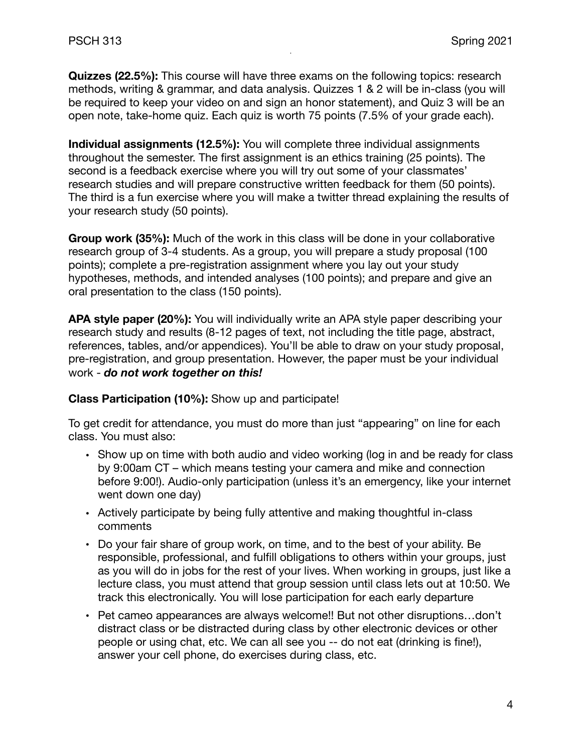**Quizzes (22.5%):** This course will have three exams on the following topics: research methods, writing & grammar, and data analysis. Quizzes 1 & 2 will be in-class (you will be required to keep your video on and sign an honor statement), and Quiz 3 will be an open note, take-home quiz. Each quiz is worth 75 points (7.5% of your grade each).

**Individual assignments (12.5%):** You will complete three individual assignments throughout the semester. The first assignment is an ethics training (25 points). The second is a feedback exercise where you will try out some of your classmates' research studies and will prepare constructive written feedback for them (50 points). The third is a fun exercise where you will make a twitter thread explaining the results of your research study (50 points).

**Group work (35%):** Much of the work in this class will be done in your collaborative research group of 3-4 students. As a group, you will prepare a study proposal (100 points); complete a pre-registration assignment where you lay out your study hypotheses, methods, and intended analyses (100 points); and prepare and give an oral presentation to the class (150 points).

**APA style paper (20%):** You will individually write an APA style paper describing your research study and results (8-12 pages of text, not including the title page, abstract, references, tables, and/or appendices). You'll be able to draw on your study proposal, pre-registration, and group presentation. However, the paper must be your individual work - *do not work together on this!*

**Class Participation (10%):** Show up and participate!

To get credit for attendance, you must do more than just "appearing" on line for each class. You must also:

- Show up on time with both audio and video working (log in and be ready for class by 9:00am CT – which means testing your camera and mike and connection before 9:00!). Audio-only participation (unless it's an emergency, like your internet went down one day)
- Actively participate by being fully attentive and making thoughtful in-class comments
- Do your fair share of group work, on time, and to the best of your ability. Be responsible, professional, and fulfill obligations to others within your groups, just as you will do in jobs for the rest of your lives. When working in groups, just like a lecture class, you must attend that group session until class lets out at 10:50. We track this electronically. You will lose participation for each early departure
- Pet cameo appearances are always welcome!! But not other disruptions…don't distract class or be distracted during class by other electronic devices or other people or using chat, etc. We can all see you -- do not eat (drinking is fine!), answer your cell phone, do exercises during class, etc.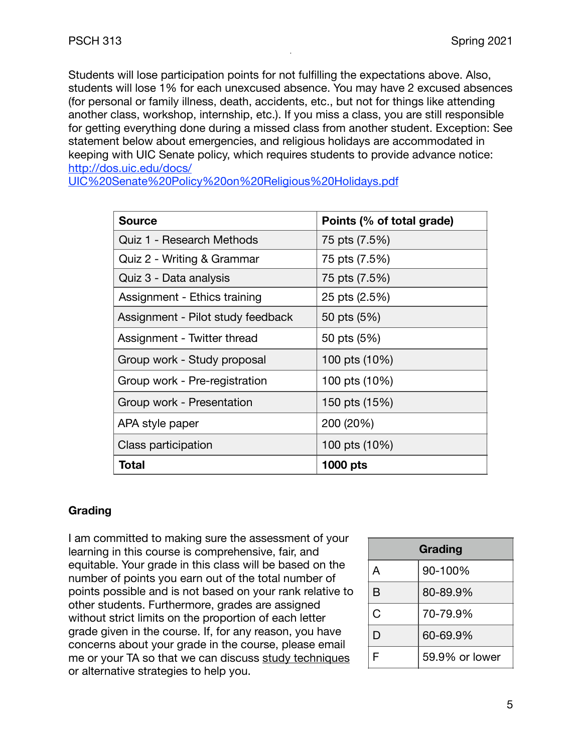Students will lose participation points for not fulfilling the expectations above. Also, students will lose 1% for each unexcused absence. You may have 2 excused absences (for personal or family illness, death, accidents, etc., but not for things like attending another class, workshop, internship, etc.). If you miss a class, you are still responsible for getting everything done during a missed class from another student. Exception: See statement below about emergencies, and religious holidays are accommodated in keeping with UIC Senate policy, which requires students to provide advance notice: [http://dos.uic.edu/docs/](http://dos.uic.edu/docs/UIC%20Senate%20Policy%20on%20Religious%20Holidays.pdf)

[UIC%20Senate%20Policy%20on%20Religious%20Holidays.pdf](http://dos.uic.edu/docs/UIC%20Senate%20Policy%20on%20Religious%20Holidays.pdf)

| <b>Source</b>                     | Points (% of total grade) |
|-----------------------------------|---------------------------|
| Quiz 1 - Research Methods         | 75 pts (7.5%)             |
| Quiz 2 - Writing & Grammar        | 75 pts (7.5%)             |
| Quiz 3 - Data analysis            | 75 pts (7.5%)             |
| Assignment - Ethics training      | 25 pts (2.5%)             |
| Assignment - Pilot study feedback | 50 pts (5%)               |
| Assignment - Twitter thread       | 50 pts (5%)               |
| Group work - Study proposal       | 100 pts (10%)             |
| Group work - Pre-registration     | 100 pts (10%)             |
| Group work - Presentation         | 150 pts (15%)             |
| APA style paper                   | 200 (20%)                 |
| Class participation               | 100 pts (10%)             |
| Total                             | <b>1000 pts</b>           |

## **Grading**

I am committed to making sure the assessment of your learning in this course is comprehensive, fair, and equitable. Your grade in this class will be based on the number of points you earn out of the total number of points possible and is not based on your rank relative to other students. Furthermore, grades are assigned without strict limits on the proportion of each letter grade given in the course. If, for any reason, you have concerns about your grade in the course, please email me or your TA so that we can discuss [study techniques](https://drive.google.com/file/d/1n-K38PaL2wyd185QBYK-3KYH7qMPHDLi/view?usp=sharing) or alternative strategies to help you.

| Grading |                |
|---------|----------------|
| A       | 90-100%        |
| В       | 80-89.9%       |
| Ć       | 70-79.9%       |
| D       | 60-69.9%       |
| F       | 59.9% or lower |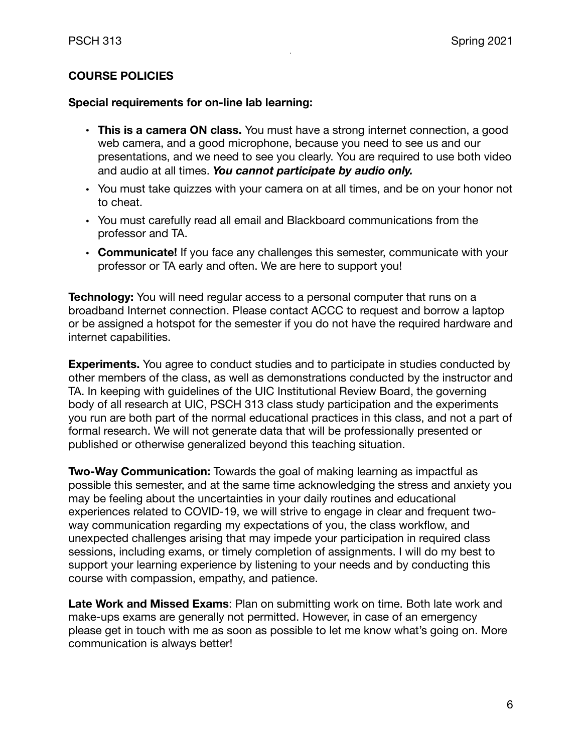## **COURSE POLICIES**

## **Special requirements for on-line lab learning:**

- **This is a camera ON class.** You must have a strong internet connection, a good web camera, and a good microphone, b*e*cause you need to see us and our presentations, and we need to see you clearly. You are required to use both video and audio at all times. *You cannot participate by audio only.*
- You must take quizzes with your camera on at all times, and be on your honor not to cheat.
- You must carefully read all email and Blackboard communications from the professor and TA.
- **• Communicate!** If you face any challenges this semester, communicate with your professor or TA early and often. We are here to support you!

**Technology:** You will need regular access to a personal computer that runs on a broadband Internet connection. Please contact ACCC to request and borrow a laptop or be assigned a hotspot for the semester if you do not have the required hardware and internet capabilities.

**Experiments.** You agree to conduct studies and to participate in studies conducted by other members of the class, as well as demonstrations conducted by the instructor and TA. In keeping with guidelines of the UIC Institutional Review Board, the governing body of all research at UIC, PSCH 313 class study participation and the experiments you run are both part of the normal educational practices in this class, and not a part of formal research. We will not generate data that will be professionally presented or published or otherwise generalized beyond this teaching situation.

**Two-Way Communication:** Towards the goal of making learning as impactful as possible this semester, and at the same time acknowledging the stress and anxiety you may be feeling about the uncertainties in your daily routines and educational experiences related to COVID-19, we will strive to engage in clear and frequent twoway communication regarding my expectations of you, the class workflow, and unexpected challenges arising that may impede your participation in required class sessions, including exams, or timely completion of assignments. I will do my best to support your learning experience by listening to your needs and by conducting this course with compassion, empathy, and patience.

**Late Work and Missed Exams**: Plan on submitting work on time. Both late work and make-ups exams are generally not permitted. However, in case of an emergency please get in touch with me as soon as possible to let me know what's going on. More communication is always better!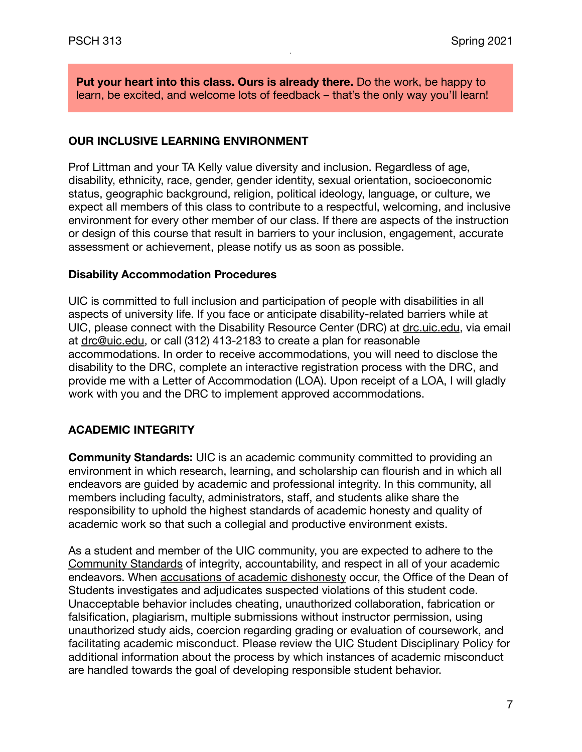**Put your heart into this class. Ours is already there.** Do the work, be happy to learn, be excited, and welcome lots of feedback – that's the only way you'll learn!

## **OUR INCLUSIVE LEARNING ENVIRONMENT**

Prof Littman and your TA Kelly value diversity and inclusion. Regardless of age, disability, ethnicity, race, gender, gender identity, sexual orientation, socioeconomic status, geographic background, religion, political ideology, language, or culture, we expect all members of this class to contribute to a respectful, welcoming, and inclusive environment for every other member of our class. If there are aspects of the instruction or design of this course that result in barriers to your inclusion, engagement, accurate assessment or achievement, please notify us as soon as possible.

## **Disability Accommodation Procedures**

UIC is committed to full inclusion and participation of people with disabilities in all aspects of university life. If you face or anticipate disability-related barriers while at UIC, please connect with the Disability Resource Center (DRC) at [drc.uic.edu,](https://drc.uic.edu/) via email at [drc@uic.edu,](mailto:drc@uic.edu) or call (312) 413-2183 to create a plan for reasonable accommodations. In order to receive accommodations, you will need to disclose the disability to the DRC, complete an interactive registration process with the DRC, and provide me with a Letter of Accommodation (LOA). Upon receipt of a LOA, I will gladly work with you and the DRC to implement approved accommodations.

## **ACADEMIC INTEGRITY**

**Community Standards:** UIC is an academic community committed to providing an environment in which research, learning, and scholarship can flourish and in which all endeavors are guided by academic and professional integrity. In this community, all members including faculty, administrators, staff, and students alike share the responsibility to uphold the highest standards of academic honesty and quality of academic work so that such a collegial and productive environment exists.

As a student and member of the UIC community, you are expected to adhere to the [Community Standards](https://dos.uic.edu/community-standards/) of integrity, accountability, and respect in all of your academic endeavors. When [accusations of academic dishonesty](https://dos.uic.edu/community-standards/academic-integrity/) occur, the Office of the Dean of Students investigates and adjudicates suspected violations of this student code. Unacceptable behavior includes cheating, unauthorized collaboration, fabrication or falsification, plagiarism, multiple submissions without instructor permission, using unauthorized study aids, coercion regarding grading or evaluation of coursework, and facilitating academic misconduct. Please review the [UIC Student Disciplinary Policy](https://dos.uic.edu/wp-content/uploads/sites/262/2018/10/DOS-Student-Disciplinary-Policy-2018-2019-FINAL.pdf) for additional information about the process by which instances of academic misconduct are handled towards the goal of developing responsible student behavior.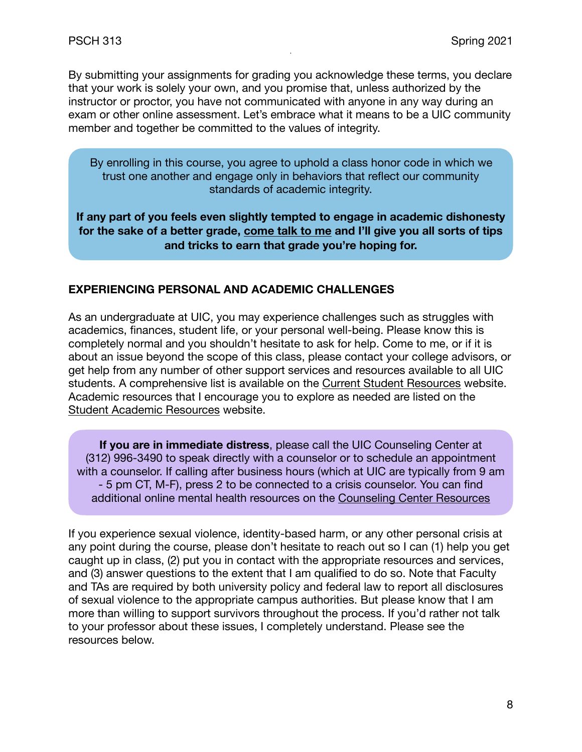By submitting your assignments for grading you acknowledge these terms, you declare that your work is solely your own, and you promise that, unless authorized by the instructor or proctor, you have not communicated with anyone in any way during an exam or other online assessment. Let's embrace what it means to be a UIC community member and together be committed to the values of integrity.

By enrolling in this course, you agree to uphold a class honor code in which we trust one another and engage only in behaviors that reflect our community standards of academic integrity.

**If any part of you feels even slightly tempted to engage in academic dishonesty for the sake of a better grade, come talk to me and I'll give you all sorts of tips and tricks to earn that grade you're hoping for.**

## **EXPERIENCING PERSONAL AND ACADEMIC CHALLENGES**

As an undergraduate at UIC, you may experience challenges such as struggles with academics, finances, student life, or your personal well-being. Please know this is completely normal and you shouldn't hesitate to ask for help. Come to me, or if it is about an issue beyond the scope of this class, please contact your college advisors, or get help from any number of other support services and resources available to all UIC students. A comprehensive list is available on the [Current Student Resources](https://today.uic.edu/resources/current-students) website. Academic resources that I encourage you to explore as needed are listed on the [Student Academic Resources](https://provost.uic.edu/student-resources/) website.

**If you are in immediate distress**, please call the UIC Counseling Center at (312) 996-3490 to speak directly with a counselor or to schedule an appointment with a counselor. If calling after business hours (which at UIC are typically from 9 am - 5 pm CT, M-F), press 2 to be connected to a crisis counselor. You can find additional online mental health resources on the [Counseling Center Resources](https://counseling.uic.edu/online-resources/)

If you experience sexual violence, identity-based harm, or any other personal crisis at any point during the course, please don't hesitate to reach out so I can (1) help you get caught up in class, (2) put you in contact with the appropriate resources and services, and (3) answer questions to the extent that I am qualified to do so. Note that Faculty and TAs are required by both university policy and federal law to report all disclosures of sexual violence to the appropriate campus authorities. But please know that I am more than willing to support survivors throughout the process. If you'd rather not talk to your professor about these issues, I completely understand. Please see the resources below.